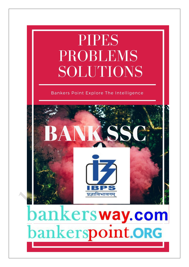# **PIPES PROBLEMS** SOLUTIONS

### Bankers Point Explore The Intelligence



# bankersway.com bankerspoint.ORG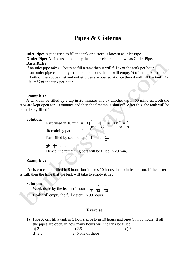## **Pipes & Cisterns**

**Inlet Pipe:** A pipe used to fill the tank or cistern is known as Inlet Pipe. **Outlet Pipe:** A pipe used to empty the tank or cistern is known as Outlet Pipe. **Basic Rules**

If an inlet pipe takes 2 hours to fill a tank then it will fill ½ of the tank per hour If an outlet pipe can empty the tank in 4 hours then it will empty ¼ of the tank per hour If both of the above inlet and outlet pipes are opened at once then it will fill the tank  $\frac{1}{2}$  $- \frac{1}{4} = \frac{1}{2}$  of the tank per hour

#### **Example 1:**

A tank can be filled by a tap in 20 minutes and by another tap in 60 minutes. Both the taps are kept open for 10 minutes and then the first tap is shut off. After this, the tank will be completely filled in:

#### **Solution:**

Part filled in 10 min. =  $10 \left[\frac{1}{2}\right] + \left[\frac{1}{2}\right] = 10 \times \frac{4}{2} = \frac{2}{2}$  $20 \times 60$ Remaining part =  $1 - \frac{2}{3} = \frac{1}{3}$ 60 3

3 3

Part filled by second tap in 1 min.  $=$   $\frac{1}{60}$ 

 $\frac{1}{60}$  :  $\frac{1}{3}$  : : 1 : x

Hence, the remaining part will be filled in 20 min.

#### **Example 2:**

A cistern can be filled in 9 hours but it takes 10 hours due to in its bottom. If the cistern is full, then the time that the leak will take to empty it, is :

#### **Solution:**

Work done by the leak in 1 hour =  $\frac{1}{2}$  -  $\frac{1}{2}$  =  $\frac{1}{2}$ 9 10 90 Leak will empty the full cistern in 90 hours.

#### **Exercise**

1) Pipe A can fill a tank in 5 hours, pipe B in 10 hours and pipe C in 30 hours. If all the pipes are open, in how many hours will the tank be filled ? a) 2 b) 2.5 c) 3 d) 3.5 e) None of these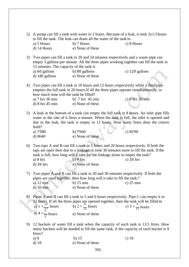- 2) A pump can fill a tank with water in 2 hours. Because of a leak, it took  $2x1/3$  hours to fill the tank. The leak can drain all the water of the tank in a) 5 Hours b) 7 Hours c) 8 Hours
	- d) 14 Hours e) None of these
- 3) Two pipes can fill a tank in 20 and 24 minutes respectively and a waste pipe can empty 3 gallons per minute. All the three pipes working together can fill the tank in 15 minutes. The capacity of the tank is
	- a) 60 gallons b) 80 gallons c) 120 gallons
	- d) 180 gallons e) None of these
- 4) Two pipes can fill a tank in 10 hours and 12 hours respectively while a third pipe empties the full tank in 20 hours.If all the three pipes operate simultaneously, in how much time will the tank be filled?
	- a) 7 hrs 30 min b) 7 hrs 45 min c) 8 hrs 30 min d) 8 hrs 45 min e) None of these
- 5) A leak in the bottom of a tank can empty the full tank in 8 hours. An inlet pipe fills water at the rate of 6 litres a minute. When the tank is full, the inlet is opened and due to the leak, the tank is empty in 12 hours. How many litres does the cistern hold?
	- a) 7580 b) 7960 c) 8290 d) 8640 e) None of these
		-
- 6) Two taps A and B can fill a tank in 5 hours and 20 hours respectively. If both the taps are open then due to a leakage, it took 30 minutes more to fill the tank. If the tank is full, how long will it take for the leakage alone to empty the tank? a) 8 hrs b) 9 hrs c) 18 hrs d)  $36 \text{ hrs}$  e) None of these
- 7) Two pipes A and B can fill a tank in 20 and 30 minutes respectively. If both the pipes are used together, then how long will it take to fill the tank ? a) 12 min b) 15 min c) 25 min d) 50 min e) None of these
- 8) Pipes A and B can fill a tank in 5 and 6 hours respectively. Pipe C can empty it in 12 hours. If all the three pipes are opened together, then the tank will be filled in a)  $1 \times \frac{13}{17}$  hours b)  $2 \times \frac{8}{11}$  hours c)  $3 \times \frac{9}{17}$  hours d) 4  $\times \frac{1}{2}$ 2 e) None of these
- 9) 12 buckets of water fill a tank when the capacity of each tank is 13.5 litres. How many buckets will be needed to fill the same tank, if the capacity of each bucket is 9 litres?
	- a) 8 b) 15 c) 16 d) 18 e) None of these
		-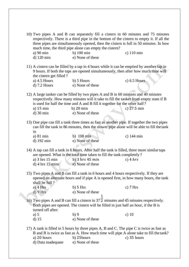| 10) Two pipes A and B can separately fill a cistern in 60 minutes and 75 minutes<br>respectively. There is a third pipe in the bottom of the cistern to empty it. If all the<br>three pipes are simultaneously opened, then the cistern is full in 50 minutes. In how<br>much time, the third pipe alone can empty the cistern? |                                                                                                                                                                                                                      |                       |  |  |
|---------------------------------------------------------------------------------------------------------------------------------------------------------------------------------------------------------------------------------------------------------------------------------------------------------------------------------|----------------------------------------------------------------------------------------------------------------------------------------------------------------------------------------------------------------------|-----------------------|--|--|
| a) $90 \text{ min}$<br>d) 120 min                                                                                                                                                                                                                                                                                               | $b)$ 100 min<br>e) None of these                                                                                                                                                                                     | c) $110 \text{ min}$  |  |  |
| 11) A cistern can be filled by a tap in 4 hours while it can be emptied by another tap in<br>9 hours. If both the taps are opened simultaneously, then after how much time will<br>the cistern get filled?                                                                                                                      |                                                                                                                                                                                                                      |                       |  |  |
| a) $4.5$ Hours<br>$d)$ 7.2 Hours                                                                                                                                                                                                                                                                                                | b) 5 Hours<br>e) None of these                                                                                                                                                                                       | c) $6.5$ Hours        |  |  |
| 12) A large tanker can be filled by two pipes A and B in 60 minutes and 40 minutes<br>respectively. How many minutes will it take to fill the tanker from empty state if B<br>is used for half the time and A and B fill it together for the other half?                                                                        |                                                                                                                                                                                                                      |                       |  |  |
| a) $15 \text{ min}$<br>$d)$ 30 min                                                                                                                                                                                                                                                                                              | $b)$ 20 min<br>e) None of these                                                                                                                                                                                      | c) $27.5 \text{ min}$ |  |  |
|                                                                                                                                                                                                                                                                                                                                 |                                                                                                                                                                                                                      |                       |  |  |
| 13) One pipe can fill a tank three times as fast as another pipe. If together the two pipes<br>can fill the tank in 86 minutes, then the slower pipe alone will be able to fill the tank<br>in                                                                                                                                  |                                                                                                                                                                                                                      |                       |  |  |
| a) 81 min                                                                                                                                                                                                                                                                                                                       | b) 108 min                                                                                                                                                                                                           | c) $144 \text{ min}$  |  |  |
| d) 192 min                                                                                                                                                                                                                                                                                                                      | e) None of these                                                                                                                                                                                                     |                       |  |  |
| a) 3 hrs 15 min<br>$d)$ 4 hrs 15 mins                                                                                                                                                                                                                                                                                           | 14) A tap can fill a tank in 6 hours. After half the tank is filled, three more similar taps<br>are opened. What is the total time taken to fill the tank completely?<br>b) $3 hrs 45 min$<br>e) None of these       | c) $4 hrs$            |  |  |
| 15) Two pipes A and B can fill a tank in 6 hours and 4 hours respectively. If they are<br>opened on alternate hours and if pipe A is opened first, in how many hours, the tank<br>shall be full?                                                                                                                                |                                                                                                                                                                                                                      |                       |  |  |
| a) $4 Hrs$                                                                                                                                                                                                                                                                                                                      | $b)$ 5 Hrs                                                                                                                                                                                                           | c) $7 Hrs$            |  |  |
| $d)$ 9 Hrs                                                                                                                                                                                                                                                                                                                      | e) None of these                                                                                                                                                                                                     |                       |  |  |
| 16) Two pipes A and B can fill a cistern in $37\overline{2}$ minutes and 45 minutes respectively.<br>Both pipes are opened. The cistern will be filled in just half an hour, if the B is<br>turned off after:                                                                                                                   |                                                                                                                                                                                                                      |                       |  |  |
| a) $5$                                                                                                                                                                                                                                                                                                                          | b)9                                                                                                                                                                                                                  | c) $10$               |  |  |
| $d)$ 15                                                                                                                                                                                                                                                                                                                         | e) None of these                                                                                                                                                                                                     |                       |  |  |
| a) 20 hours<br>d) Data inadequate                                                                                                                                                                                                                                                                                               | 17) A tank is filled in 5 hours by three pipes A, B and C. The pipe C is twice as fast as<br>B and B is twice as fast as A. How much time will pipe A alone take to fill the tank?<br>b) 25hours<br>e) None of these | $c)$ 35 hours         |  |  |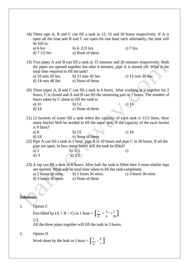|                   | be full in:                                                                                                                                                                                                                                                                                                                | 18) Three taps A, B and C can fill a tank in 12, 15 and 20 hours respectively. If A is<br>open all the time and B and C are open for one hour each alternately, the tank will                                         |                    |  |  |
|-------------------|----------------------------------------------------------------------------------------------------------------------------------------------------------------------------------------------------------------------------------------------------------------------------------------------------------------------------|-----------------------------------------------------------------------------------------------------------------------------------------------------------------------------------------------------------------------|--------------------|--|--|
|                   | a) 6 hrs<br>d) $7 \frac{1}{2}$ hrs                                                                                                                                                                                                                                                                                         | b) $6\frac{2}{3}$ hrs<br>e) None of these                                                                                                                                                                             | c) $7 \text{ hrs}$ |  |  |
|                   | 19) Two pipes A and B can fill a tank in 15 minutes and 20 minutes respectively. Both<br>the pipes are opened together but after 4 minutes, pipe A is turned off. What is the<br>total time required to fill the tank?<br>a) 10 min 20 Sec<br>b) 11 min 45 Sec<br>c) 12 min 30 Sec<br>d) 14 min 40 Sec<br>e) None of these |                                                                                                                                                                                                                       |                    |  |  |
|                   | hours taken by C alone to fill the tank is:<br>a) $10$<br>$d)$ 16                                                                                                                                                                                                                                                          | 20) Three pipes A, B and C can fill a tank in 6 hours. After working at it together for 2<br>hours, C is closed and A and B can fill the remaining part in 7 hours. The number of<br>b) $12$<br>e) None of these      | c) $14$            |  |  |
|                   | is 9 litres?<br>a) 8<br>$d)$ 18                                                                                                                                                                                                                                                                                            | 21) 12 buckets of water fill a tank when the capacity of each tank is 13.5 litres. How<br>many bucket Will be needed to fill the same tank, if the capacity of the each bucket<br>$b)$ 15<br>e) None of these         | c) $16$            |  |  |
|                   | a) $2$<br>$d$ ) 3                                                                                                                                                                                                                                                                                                          | 22) Pipe A can fill a tank in 5 hour, pipe B in 10 hours and pipe C in 30 hours. If all the<br>pipe are open, In how many hours will the tank be filled?<br>b) $2.5$<br>e) 3.5                                        | $\mathbf{c})$      |  |  |
|                   | a) $2$ hours $30$ mins.<br>$d)$ 3 hours 45 mins.                                                                                                                                                                                                                                                                           | 23) A tap can fill a tank in 6 hours. After half the tank is filled then 3 more similar taps<br>are opened. What will be total time taken to fill the tank completely.<br>b) $2$ hours $45$ mins.<br>e) None of these | c) 3 hours 30 mins |  |  |
| <b>Solutions:</b> |                                                                                                                                                                                                                                                                                                                            |                                                                                                                                                                                                                       |                    |  |  |
| 1.                | Option C<br>Part filled by $(A + B + C)$ in 1 hour = $\left[\frac{1}{5} + \frac{1}{6} + \frac{1}{30}\right]$<br>1/3.<br>All the three pipes together will fill the tank in 3 hours.                                                                                                                                        |                                                                                                                                                                                                                       |                    |  |  |
| 2.                | Option D<br>Work done by the leak in 1 hour = $\left[\frac{1}{2} \cdot \frac{3}{7}\right]$                                                                                                                                                                                                                                 |                                                                                                                                                                                                                       |                    |  |  |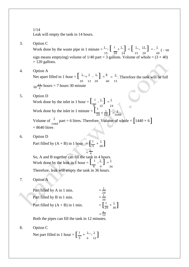1/14

Leak will empty the tank in 14 hours.

3. Option C

Work done by the waste pipe in 1 minute  $=$   $\frac{1}{15}$   $\left[\frac{1}{20} + \frac{1}{24}\right] = \left[\frac{1}{15} - \frac{11}{20}\right] = -\frac{1}{40}$  ( - ve sign means emptying) volume of  $1/40$  part = 3 gallons. Volume of whole =  $(3 \times 40)$  $= 120$  gallons.

- 4. Option A Net apart filled in 1 hour =  $\begin{bmatrix} 1 & 1 \\ -1 & 1 \end{bmatrix} = \frac{8}{1} = \frac{2}{1}$ . Therefore the tank will be full  $\sin \frac{15}{2}$  hours = 7 hours 30 minute 10 12 20 60 15
- Volume of  $\frac{1}{1440}$  part = 6 litres. Therefore, Volume of whole =  $\left[1440 \times 6\right]$ 5. Option D Work done by the inlet in 1 hour =  $\begin{bmatrix} 1 & -1 \\ -1 & -1 \end{bmatrix} = \frac{1}{2}$ Work done by the inlet in 1 minute  $=$   $\left[\frac{1}{2}, \frac{1}{2}\right]$ .  $\times \frac{1}{60}$  =  $\frac{1}{14}$  $24 \hat{ } 60$  J  $-1440$  $= 8640$  litres
- 6. Option D

Part filled by  $(A + B)$  in 1 hour  $= \left[\frac{1}{5} + \frac{1}{20}\right]$  $\frac{1}{5} + \frac{1}{20}$ = 1

4 So, A and B together can fill the tank in 4 hours. Work done by the leak in 1 hour  $=\begin{bmatrix} 1 & 2 \\ -2 & 1 \end{bmatrix} = \frac{1}{2}$ 4 9 36 Therefore, leak will empty the tank in 36 hours.

- 7. Option A
	- $\left[\frac{1}{20} + \frac{1}{30}\right]$ Part filled by A in 1 min. 1 20 1 Part filled by B in 1 min. 30 Part filled by  $(A + B)$  in 1 min.  $\frac{1}{20} + \frac{1}{30}$  $=\frac{1}{12}$

Both the pipes can fill the tank in 12 minutes.

8. Option C

Net part filled in 1 hour =  $\left[\frac{1}{5} + \frac{1}{6}\right]$  $\frac{1}{5} + \frac{1}{6} - \frac{1}{12}$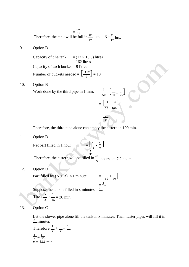$=\frac{17}{60}$ <br>Therefore, the tank will be full in  $\frac{60}{17}$ hrs.  $=$  3  $\times \frac{9}{9}$  $\frac{1}{17}$  hrs.

#### 9. Option D

Number of buckets needed  $= \left[\frac{162}{9}\right] = 18$ Capacity of t he tank  $= (12 \times 13.5)$  litres  $= 162$  litres Capacity of each bucket  $= 9$  litres

#### 10. Option B

 $\frac{1}{50}$  -  $\left[ \frac{1}{100} \right]$ Work done by the third pipe in 1 min.  $\frac{1}{50}$  -  $\left[\frac{1}{60} + \frac{1}{7}\right]$  $\frac{1}{60} + \frac{1}{75}$  $=\begin{bmatrix} 1 & 3 \\ -1 & 3 \end{bmatrix}$ 50 100  $=$   $\frac{1}{10}$ 100

Therefore, the third pipe alone can empty the cistern in 100 min.

11. Option D

Net part filled in 1 hour  $\left[\frac{1}{4}, \frac{1}{8}\right]$ 

 $=\frac{5}{36}$ <br>Therefore, the cistern will be filled in  $\frac{5}{5}$  hours i.e. 7.2 hours

12. Option D

 $\left[\frac{1}{60} + \frac{1}{40}\right]$ Part filled by  $(A + B)$  in 1 minute  $\frac{1}{60} + \frac{1}{40}$ Suppose the tank is filled in x minutes  $=$   $\frac{\frac{1}{4}}{8}$ Then,  $\frac{x}{x} \times \frac{1}{x}$  $\frac{x}{2} \times \frac{1}{15} = 30 \text{ min.}$ 

#### 13. Option C

Let the slower pipe alone fill the tank in x minutes. Then, faster pipes will fill it in  $x$  minutes

 $\frac{1}{4}$  -  $\frac{1}{9}$ ]

Therefore, 
$$
\frac{1}{x} + \frac{3}{x} = \frac{1}{36}
$$

$$
\frac{4}{x} = \frac{1}{36}
$$

$$
x = 144 \text{ min.}
$$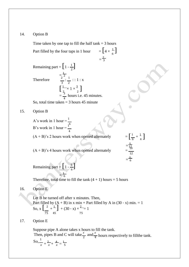#### 14. Option B

 $\frac{1}{6}$ ] Remaining part =  $\left[1 - \frac{1}{2}\right]$ Time taken by one tap to fill the half tank  $=$  3 hours Part filled by the four taps in 1 hour  $=\frac{2}{3}$ 

**Therefore** 

$$
\frac{1}{2^2} \cdot \frac{1}{2} : 1 : x
$$
\n
$$
\left[\frac{1}{2} \times 1 \times \frac{3}{2}\right]
$$
\n
$$
= \frac{3}{4} \text{ hours i.e. } 45 \text{ minutes.}
$$

So, total time taken  $=$  3 hours 45 minute

15. Option B

A's work in 1 hour =  $\frac{1}{16}$ <br>B's work in 1 hour =  $\frac{1}{4}$ 

 $(A + B)$ 's 2 hours work when opened alternately

 $\left[\frac{1}{6} + \frac{1}{4}\right]$  $\frac{1}{6} + \frac{1}{4}$  $=\frac{5}{12}$ 12  $=\frac{5}{6}$ 

 $(A + B)$ 's 4 hours work when opened alternately

Remaining part =  $\left[1-\frac{5}{6}\right]$ 

1

= 6 Therefore, total time to fill the tank  $(4 + 1)$  hours = 5 hours

16. Option E

Let B be turned off after x minutes. Then, Part filled by  $(A + B)$  in x min + Part filled by A in  $(30 - x)$  min. = 1 So,  $x\left[\frac{2}{1} + \frac{1}{1}\right] + (30 - x) \times \frac{2}{1} = 1$ 75 45 75

17. Option E

Suppose pipe A alone takes x hours to fill the tank. Then, pipes B and C will take  $\frac{x}{2}$  and  $\frac{x}{4}$  hours respectively to fillthe tank.

$$
\text{So, } \frac{1}{x} + \frac{2}{x} + \frac{4}{x} = \frac{1}{5}
$$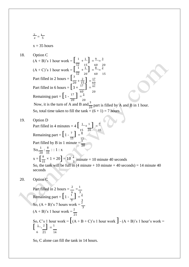$$
\frac{7}{x} = \frac{1}{5}
$$

 $x = 35$  hours

18. Option C

- $(A + B)'s 1$  hour work =  $\begin{bmatrix} 1 \\ +1 \end{bmatrix} = \frac{9}{5} = \frac{3}{5}$  $(A+C)$ 's 1 hour work =  $\begin{bmatrix} 12 & 15 \\ 1 & +1 \end{bmatrix} = \frac{60}{8} = \frac{20}{8}$ 12 20 60 15 Part filled in 2 hours  $=$   $\left[\frac{3}{2}\right]$  $+\frac{2}{15}$  =  $\frac{17}{60}$ Part filled in 6 hours =  $\begin{bmatrix} 20 + 15 \ 3 \times 17 \end{bmatrix} = \frac{17}{15}$ 60 20 Remaining part =  $\left[1 - \frac{17}{2}\right] = \frac{3}{2}$  $20^{\circ}$  20 Now, it is the turn of A and B and  $\frac{3}{20}$  part is filled by A and B in 1 hour. So, total time taken to fill the tank =  $(6 + 1) = 7$  hours
- 19. Option D

 $x = \left[\frac{8}{15} \times 1 \times 20\right]$ Part filled in 4 minutes =  $4\left[\begin{array}{c} 1 \ -1 \end{array}\right] = \frac{1}{2}$ Remaining part =  $\left[1 - \frac{7}{\epsilon}\right] = \frac{8}{\epsilon^2}$  15 15 15 Part filled by B in 1 minute  $=\frac{1}{20}$ So,  $\frac{1}{20}$  :  $\frac{8}{15}$  : : 1 : x  $\left(\frac{8}{15} \times 1 \times 20\right) = 10\frac{2}{3}$  minute = 10 minute 40 seconds So, the tank will be full in  $(4 \text{ minute} + 10 \text{ minute} + 40 \text{ seconds}) = 14 \text{ minute}$  40 seconds

20. Option C

Part filled in 2 hours =  $\frac{2}{1}$  =  $\frac{1}{1}$ 6 3 Remaining part =  $\left[1-\frac{1}{2}\right] = \frac{2}{3}$  $\frac{3}{3}$  3 So,  $(A + B)'s$  7 hours work =  $\frac{2}{3}$  $(A + B)'s 1 hour work =  $\frac{2}{21}$$ So, C's 1 hour work =  $[(A + B + C)$ 's 1 hour work  $] - (A + B)$ 's 1 hour's work =  $\left[\begin{array}{cc} 1 & 2 \\ -1 & 2 \end{array}\right] = \frac{1}{2}$ 6 21 14

So, C alone can fill the tank in 14 hours.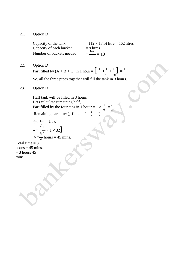### 21. Option D

Capacity of each bucket Number of buckets needed =

Capacity of the tank  $= (12 \times 13.5)$  litre = 162 litres 162  $\frac{1}{9}$  = 18

22. Option D

Part filled by  $(A + B + C)$  in 1 hour =  $\begin{bmatrix} 1 & 1 \\ - & + \end{bmatrix} + \begin{bmatrix} 1 \\ - \end{bmatrix} = \frac{1}{2}$ 5 10 30 3 So, all the three pipes together will fill the tank in 3 hours.

2 2

23. Option D

Half tank will be filled in 3 hours Lets calculate remaining half, Part filled by the four taps in 1 houir =  $1 \times \frac{1}{2} = \frac{2}{3}$ Remaining part after  $\frac{1}{2}$  filled =  $1 - \frac{1}{2} = \frac{1}{2}$ 

$$
\frac{2}{3} : \frac{1}{2} : : 1 : x
$$
  
x = 
$$
\left[\frac{1}{2} \times 1 \times 32\right]
$$
  
x = 
$$
\frac{3}{4}
$$
 hours = 45 mins.

Total time  $= 3$ hours  $+45$  mins.  $=$  3 hours 45 mins